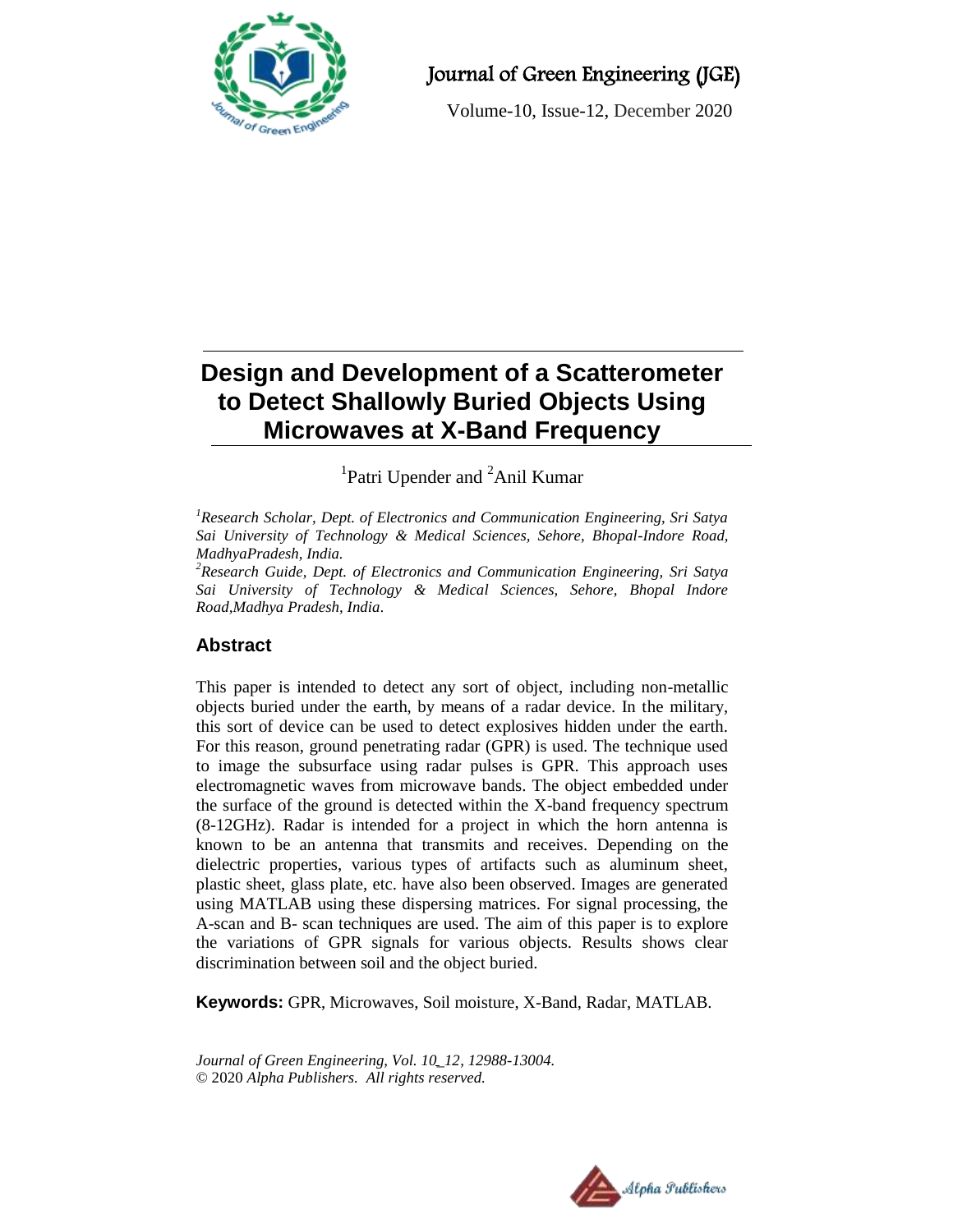

# Journal of Green Engineering (JGE)

Volume-10, Issue-12, December 2020

# **Design and Development of a Scatterometer to Detect Shallowly Buried Objects Using Microwaves at X-Band Frequency**

<sup>1</sup>Patri Upender and <sup>2</sup>Anil Kumar

*<sup>1</sup>Research Scholar, Dept. of Electronics and Communication Engineering, Sri Satya Sai University of Technology & Medical Sciences, Sehore, Bhopal-Indore Road, MadhyaPradesh, India.*

*<sup>2</sup>Research Guide, Dept. of Electronics and Communication Engineering, Sri Satya Sai University of Technology & Medical Sciences, Sehore, Bhopal Indore Road,Madhya Pradesh, India.*

## **Abstract**

This paper is intended to detect any sort of object, including non-metallic objects buried under the earth, by means of a radar device. In the military, this sort of device can be used to detect explosives hidden under the earth. For this reason, ground penetrating radar (GPR) is used. The technique used to image the subsurface using radar pulses is GPR. This approach uses electromagnetic waves from microwave bands. The object embedded under the surface of the ground is detected within the X-band frequency spectrum (8-12GHz). Radar is intended for a project in which the horn antenna is known to be an antenna that transmits and receives. Depending on the dielectric properties, various types of artifacts such as aluminum sheet, plastic sheet, glass plate, etc. have also been observed. Images are generated using MATLAB using these dispersing matrices. For signal processing, the A-scan and B- scan techniques are used. The aim of this paper is to explore the variations of GPR signals for various objects. Results shows clear discrimination between soil and the object buried.

**Keywords:** GPR, Microwaves, Soil moisture, X-Band, Radar, MATLAB.

*Journal of Green Engineering, Vol. 10\_12, 12988-13004.* © 2020 *Alpha Publishers. All rights reserved.*

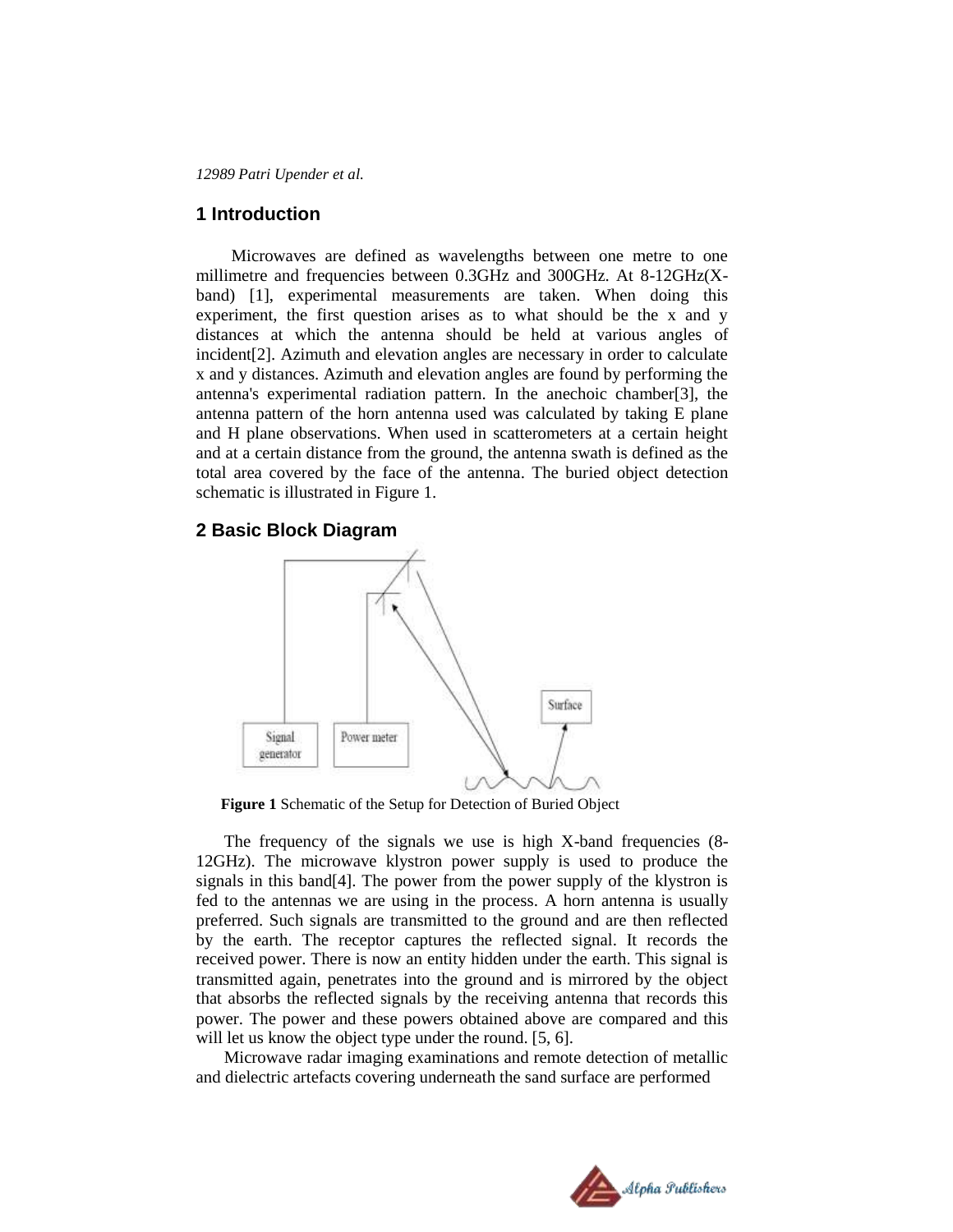#### **1 Introduction**

Microwaves are defined as wavelengths between one metre to one millimetre and frequencies between 0.3GHz and 300GHz. At 8-12GHz(Xband) [1], experimental measurements are taken. When doing this experiment, the first question arises as to what should be the x and y distances at which the antenna should be held at various angles of incident[2]. Azimuth and elevation angles are necessary in order to calculate x and y distances. Azimuth and elevation angles are found by performing the antenna's experimental radiation pattern. In the anechoic chamber[3], the antenna pattern of the horn antenna used was calculated by taking E plane and H plane observations. When used in scatterometers at a certain height and at a certain distance from the ground, the antenna swath is defined as the total area covered by the face of the antenna. The buried object detection schematic is illustrated in Figure 1.

#### **2 Basic Block Diagram**



**Figure 1** Schematic of the Setup for Detection of Buried Object

The frequency of the signals we use is high X-band frequencies (8- 12GHz). The microwave klystron power supply is used to produce the signals in this band[4]. The power from the power supply of the klystron is fed to the antennas we are using in the process. A horn antenna is usually preferred. Such signals are transmitted to the ground and are then reflected by the earth. The receptor captures the reflected signal. It records the received power. There is now an entity hidden under the earth. This signal is transmitted again, penetrates into the ground and is mirrored by the object that absorbs the reflected signals by the receiving antenna that records this power. The power and these powers obtained above are compared and this will let us know the object type under the round. [5, 6].

Microwave radar imaging examinations and remote detection of metallic and dielectric artefacts covering underneath the sand surface are performed

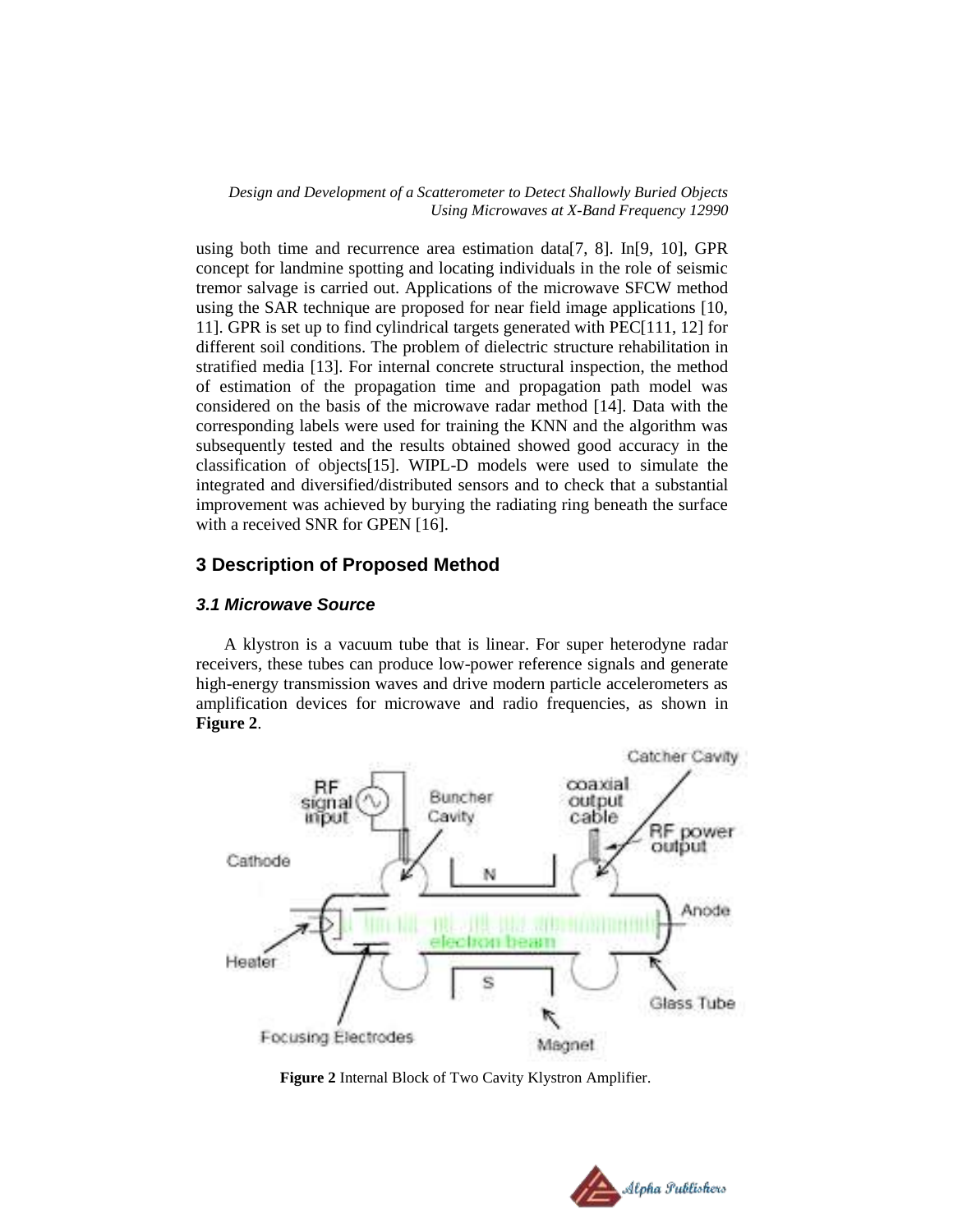using both time and recurrence area estimation data[7, 8]. In[9, 10], GPR concept for landmine spotting and locating individuals in the role of seismic tremor salvage is carried out. Applications of the microwave SFCW method using the SAR technique are proposed for near field image applications [10, 11]. GPR is set up to find cylindrical targets generated with PEC[111, 12] for different soil conditions. The problem of dielectric structure rehabilitation in stratified media [13]. For internal concrete structural inspection, the method of estimation of the propagation time and propagation path model was considered on the basis of the microwave radar method [14]. Data with the corresponding labels were used for training the KNN and the algorithm was subsequently tested and the results obtained showed good accuracy in the classification of objects[15]. WIPL-D models were used to simulate the integrated and diversified/distributed sensors and to check that a substantial improvement was achieved by burying the radiating ring beneath the surface with a received SNR for GPEN [16].

## **3 Description of Proposed Method**

#### *3.1 Microwave Source*

A klystron is a vacuum tube that is linear. For super heterodyne radar receivers, these tubes can produce low-power reference signals and generate high-energy transmission waves and drive modern particle accelerometers as amplification devices for microwave and radio frequencies, as shown in **Figure 2**.



**Figure 2** Internal Block of Two Cavity Klystron Amplifier.

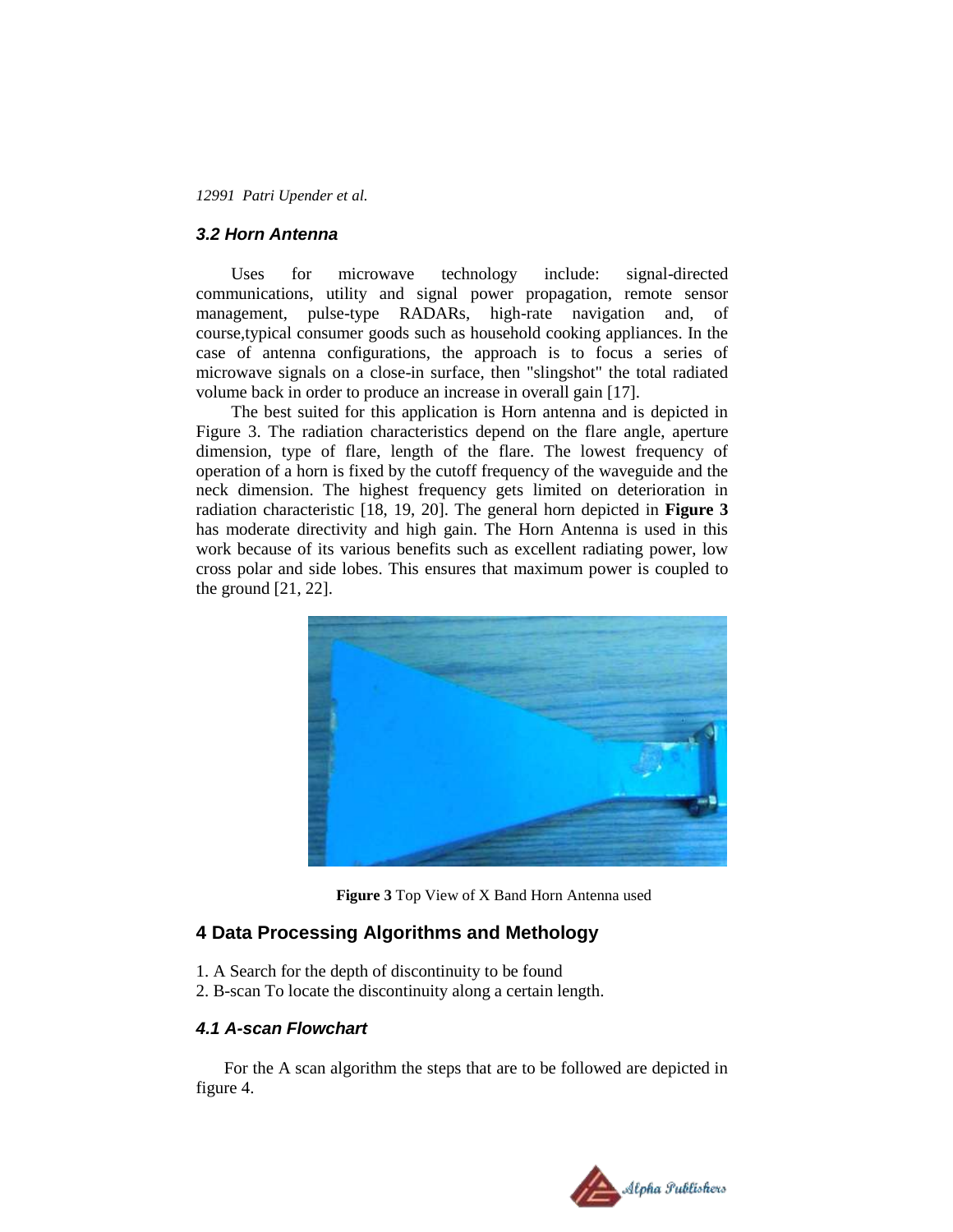#### *3.2 Horn Antenna*

Uses for microwave technology include: signal-directed communications, utility and signal power propagation, remote sensor management, pulse-type RADARs, high-rate navigation and, of course,typical consumer goods such as household cooking appliances. In the case of antenna configurations, the approach is to focus a series of microwave signals on a close-in surface, then "slingshot" the total radiated volume back in order to produce an increase in overall gain [17].

The best suited for this application is Horn antenna and is depicted in Figure 3. The radiation characteristics depend on the flare angle, aperture dimension, type of flare, length of the flare. The lowest frequency of operation of a horn is fixed by the cutoff frequency of the waveguide and the neck dimension. The highest frequency gets limited on deterioration in radiation characteristic [18, 19, 20]. The general horn depicted in **Figure 3** has moderate directivity and high gain. The Horn Antenna is used in this work because of its various benefits such as excellent radiating power, low cross polar and side lobes. This ensures that maximum power is coupled to the ground [21, 22].



 **Figure 3** Top View of X Band Horn Antenna used

## **4 Data Processing Algorithms and Methology**

- 1. A Search for the depth of discontinuity to be found
- 2. B-scan To locate the discontinuity along a certain length.

#### *4.1 A-scan Flowchart*

For the A scan algorithm the steps that are to be followed are depicted in figure 4.

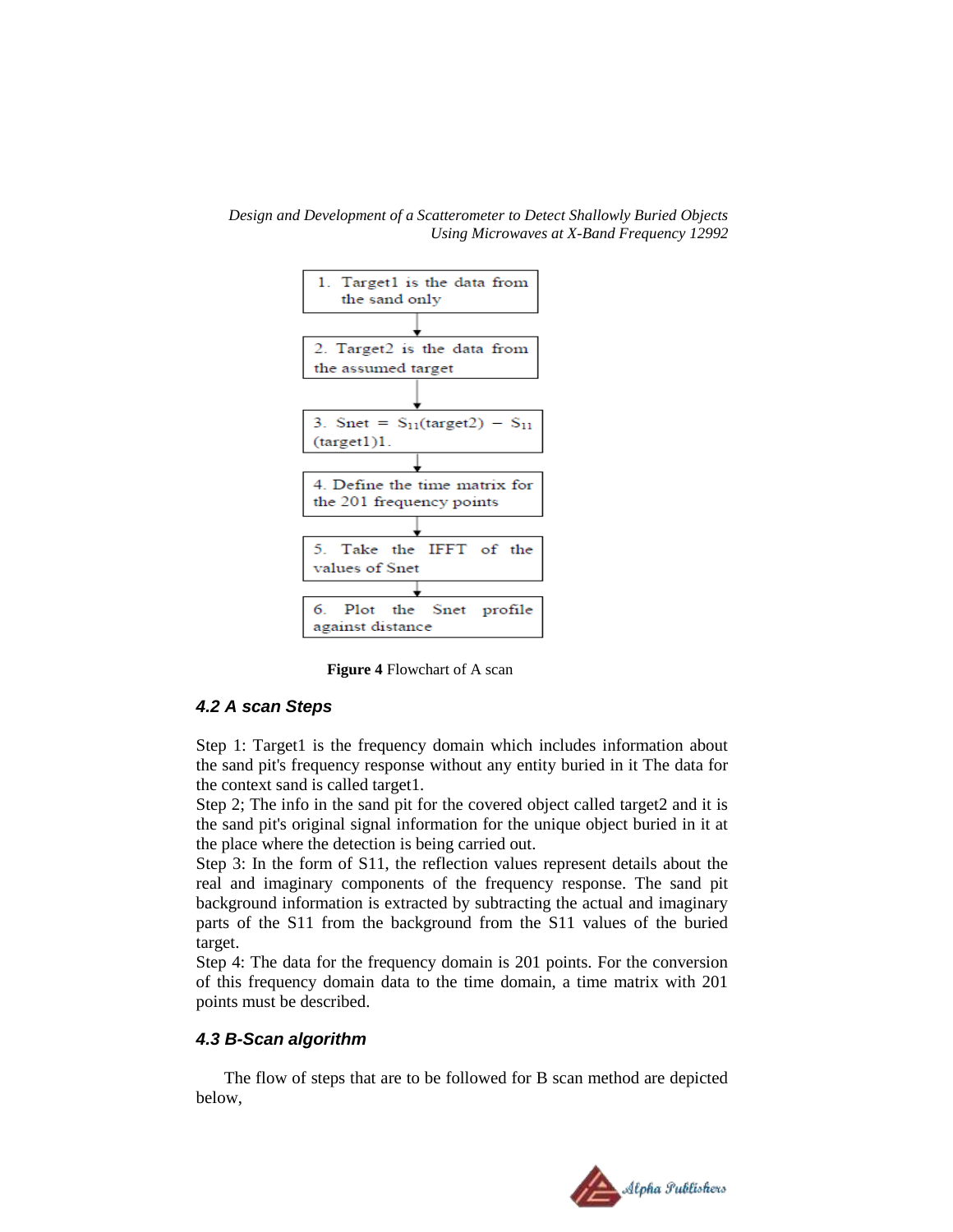*Design and Development of a Scatterometer to Detect Shallowly Buried Objects Using Microwaves at X-Band Frequency 12992*



**Figure 4** Flowchart of A scan

#### *4.2 A scan Steps*

Step 1: Target1 is the frequency domain which includes information about the sand pit's frequency response without any entity buried in it The data for the context sand is called target1.

Step 2; The info in the sand pit for the covered object called target2 and it is the sand pit's original signal information for the unique object buried in it at the place where the detection is being carried out.

Step 3: In the form of S11, the reflection values represent details about the real and imaginary components of the frequency response. The sand pit background information is extracted by subtracting the actual and imaginary parts of the S11 from the background from the S11 values of the buried target.

Step 4: The data for the frequency domain is 201 points. For the conversion of this frequency domain data to the time domain, a time matrix with 201 points must be described.

#### *4.3 B-Scan algorithm*

The flow of steps that are to be followed for B scan method are depicted below,

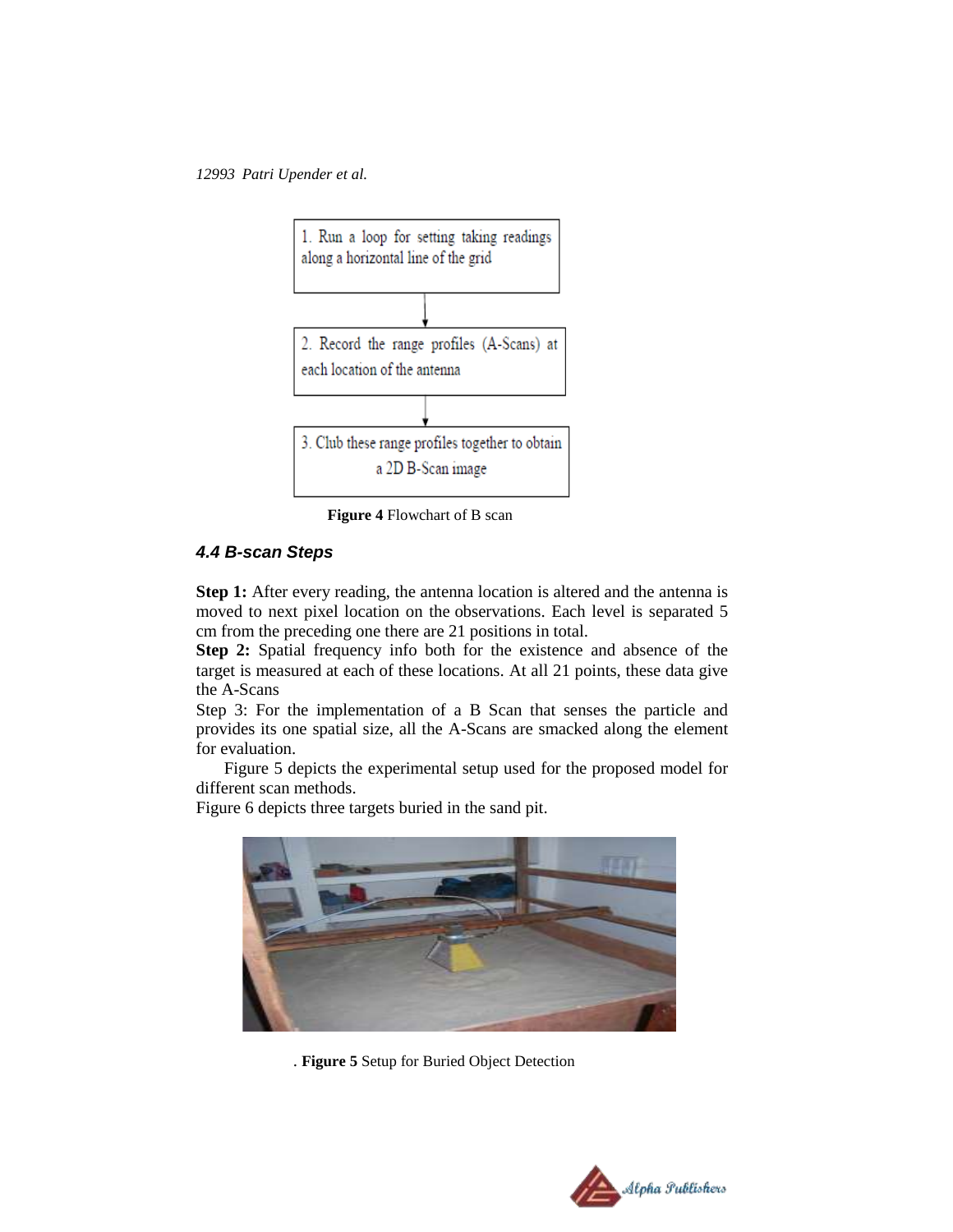

**Figure 4** Flowchart of B scan

## *4.4 B-scan Steps*

**Step 1:** After every reading, the antenna location is altered and the antenna is moved to next pixel location on the observations. Each level is separated 5 cm from the preceding one there are 21 positions in total.

**Step 2:** Spatial frequency info both for the existence and absence of the target is measured at each of these locations. At all 21 points, these data give the A-Scans

Step 3: For the implementation of a B Scan that senses the particle and provides its one spatial size, all the A-Scans are smacked along the element for evaluation.

Figure 5 depicts the experimental setup used for the proposed model for different scan methods.

Figure 6 depicts three targets buried in the sand pit.



. **Figure 5** Setup for Buried Object Detection

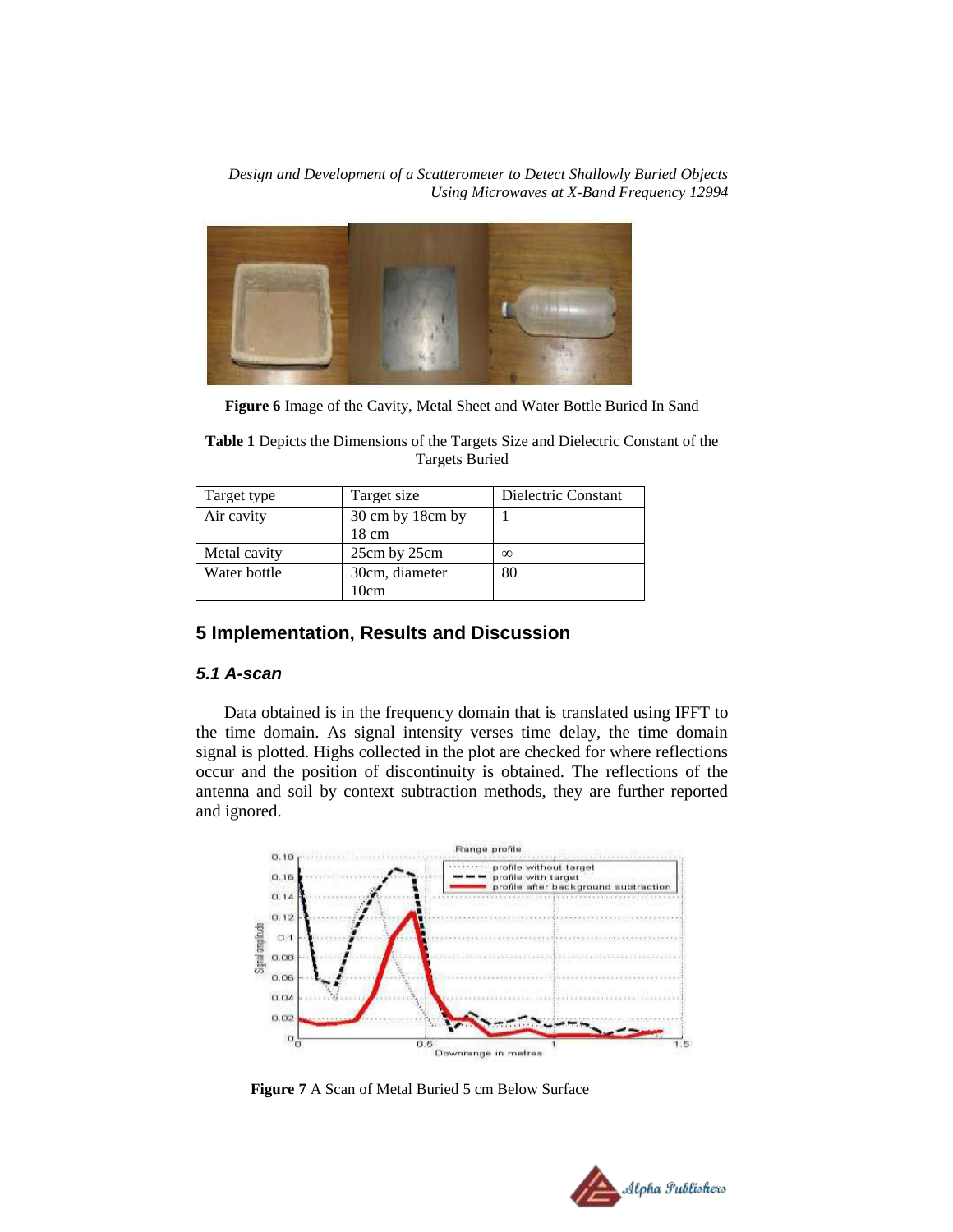

**Figure 6** Image of the Cavity, Metal Sheet and Water Bottle Buried In Sand

**Table 1** Depicts the Dimensions of the Targets Size and Dielectric Constant of the Targets Buried

| Target type  | Target size      | Dielectric Constant |
|--------------|------------------|---------------------|
| Air cavity   | 30 cm by 18cm by |                     |
|              | 18 cm            |                     |
| Metal cavity | 25cm by 25cm     | $\infty$            |
| Water bottle | 30cm, diameter   | 80                  |
|              | 10cm             |                     |

## **5 Implementation, Results and Discussion**

## *5.1 A-scan*

Data obtained is in the frequency domain that is translated using IFFT to the time domain. As signal intensity verses time delay, the time domain signal is plotted. Highs collected in the plot are checked for where reflections occur and the position of discontinuity is obtained. The reflections of the antenna and soil by context subtraction methods, they are further reported and ignored.



**Figure 7** A Scan of Metal Buried 5 cm Below Surface

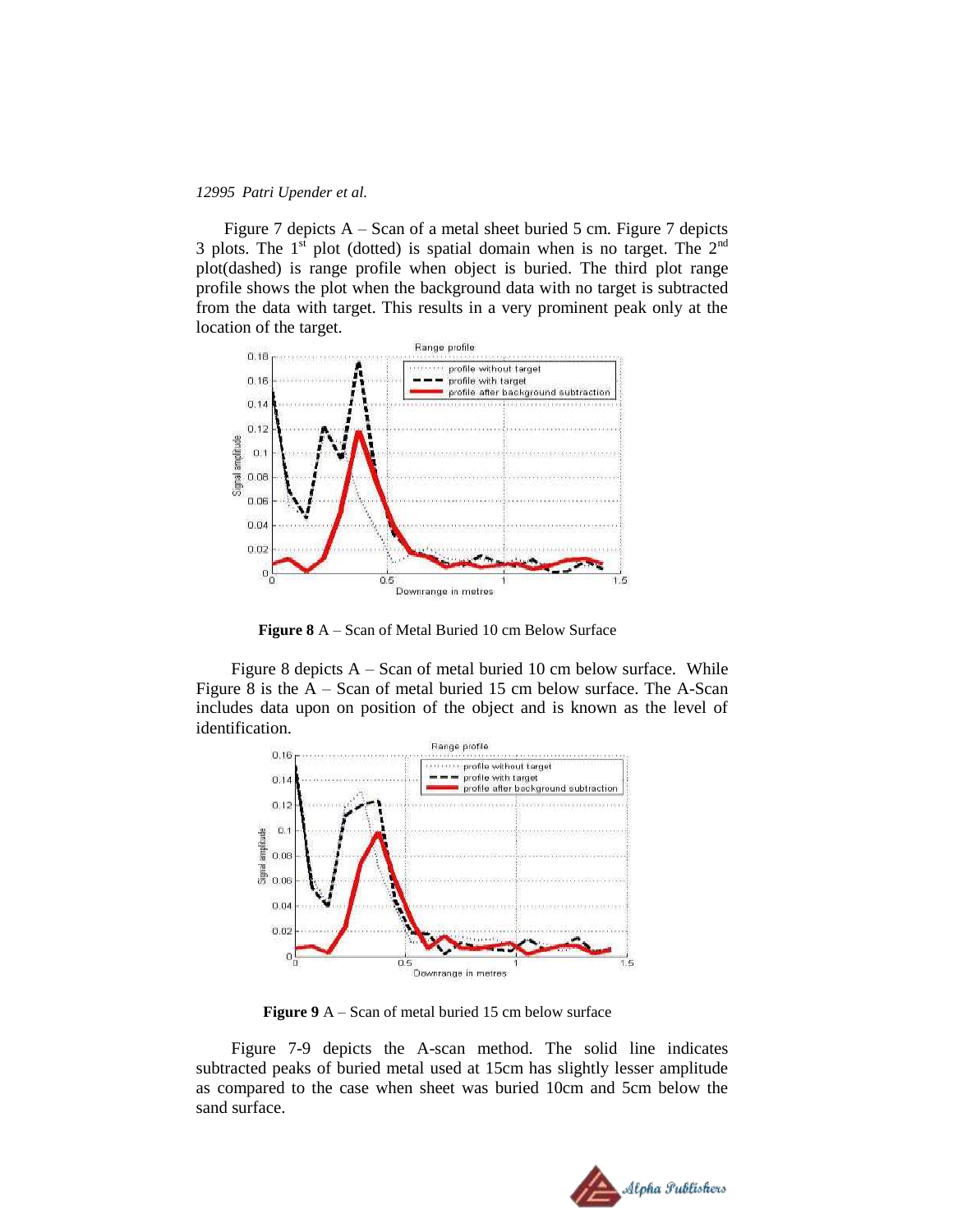Figure 7 depicts A – Scan of a metal sheet buried 5 cm. Figure 7 depicts 3 plots. The  $1<sup>st</sup>$  plot (dotted) is spatial domain when is no target. The  $2<sup>nd</sup>$ plot(dashed) is range profile when object is buried. The third plot range profile shows the plot when the background data with no target is subtracted from the data with target. This results in a very prominent peak only at the location of the target.



**Figure 8** A – Scan of Metal Buried 10 cm Below Surface

Figure 8 depicts A – Scan of metal buried 10 cm below surface. While Figure 8 is the A – Scan of metal buried 15 cm below surface. The A-Scan includes data upon on position of the object and is known as the level of identification.



Figure 9 A – Scan of metal buried 15 cm below surface

Figure 7-9 depicts the A-scan method. The solid line indicates subtracted peaks of buried metal used at 15cm has slightly lesser amplitude as compared to the case when sheet was buried 10cm and 5cm below the sand surface.

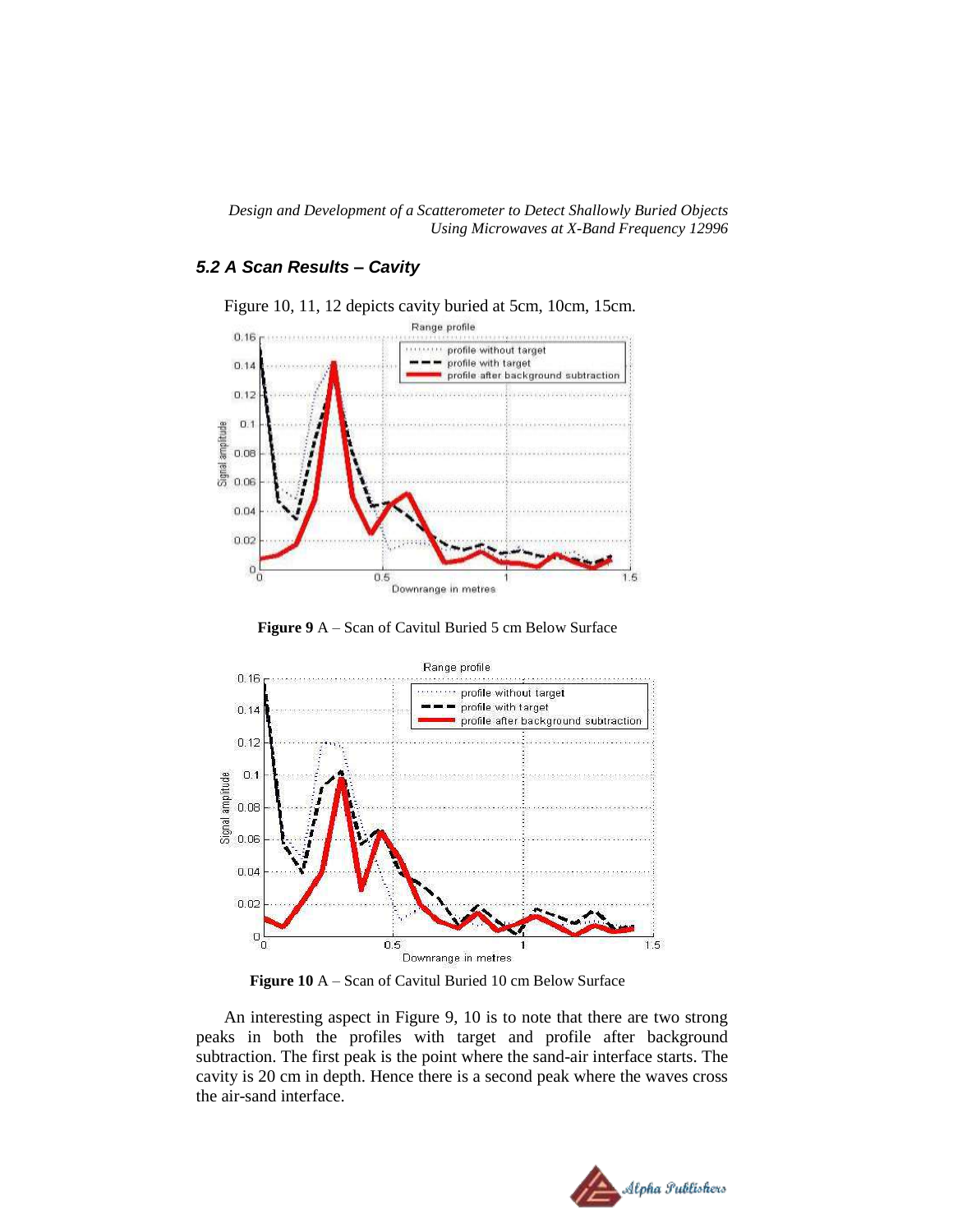## *5.2 A Scan Results – Cavity*



Figure 10, 11, 12 depicts cavity buried at 5cm, 10cm, 15cm.





**Figure 10** A – Scan of Cavitul Buried 10 cm Below Surface

An interesting aspect in Figure 9, 10 is to note that there are two strong peaks in both the profiles with target and profile after background subtraction. The first peak is the point where the sand-air interface starts. The cavity is 20 cm in depth. Hence there is a second peak where the waves cross the air-sand interface.

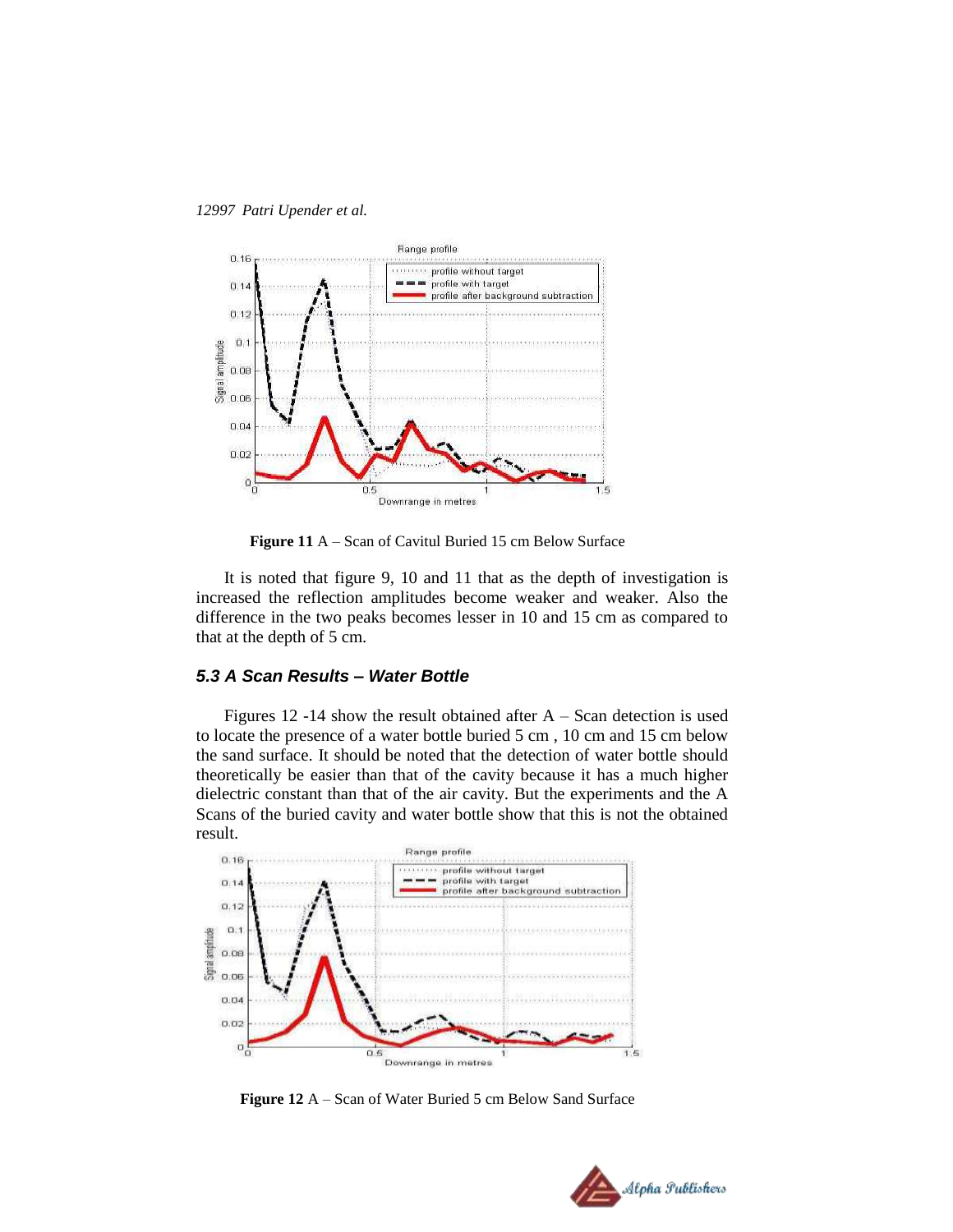



**Figure 11** A – Scan of Cavitul Buried 15 cm Below Surface

It is noted that figure 9, 10 and 11 that as the depth of investigation is increased the reflection amplitudes become weaker and weaker. Also the difference in the two peaks becomes lesser in 10 and 15 cm as compared to that at the depth of 5 cm.

#### *5.3 A Scan Results – Water Bottle*

Figures 12 -14 show the result obtained after  $A -$ Scan detection is used to locate the presence of a water bottle buried 5 cm , 10 cm and 15 cm below the sand surface. It should be noted that the detection of water bottle should theoretically be easier than that of the cavity because it has a much higher dielectric constant than that of the air cavity. But the experiments and the A Scans of the buried cavity and water bottle show that this is not the obtained result.



**Figure 12** A – Scan of Water Buried 5 cm Below Sand Surface

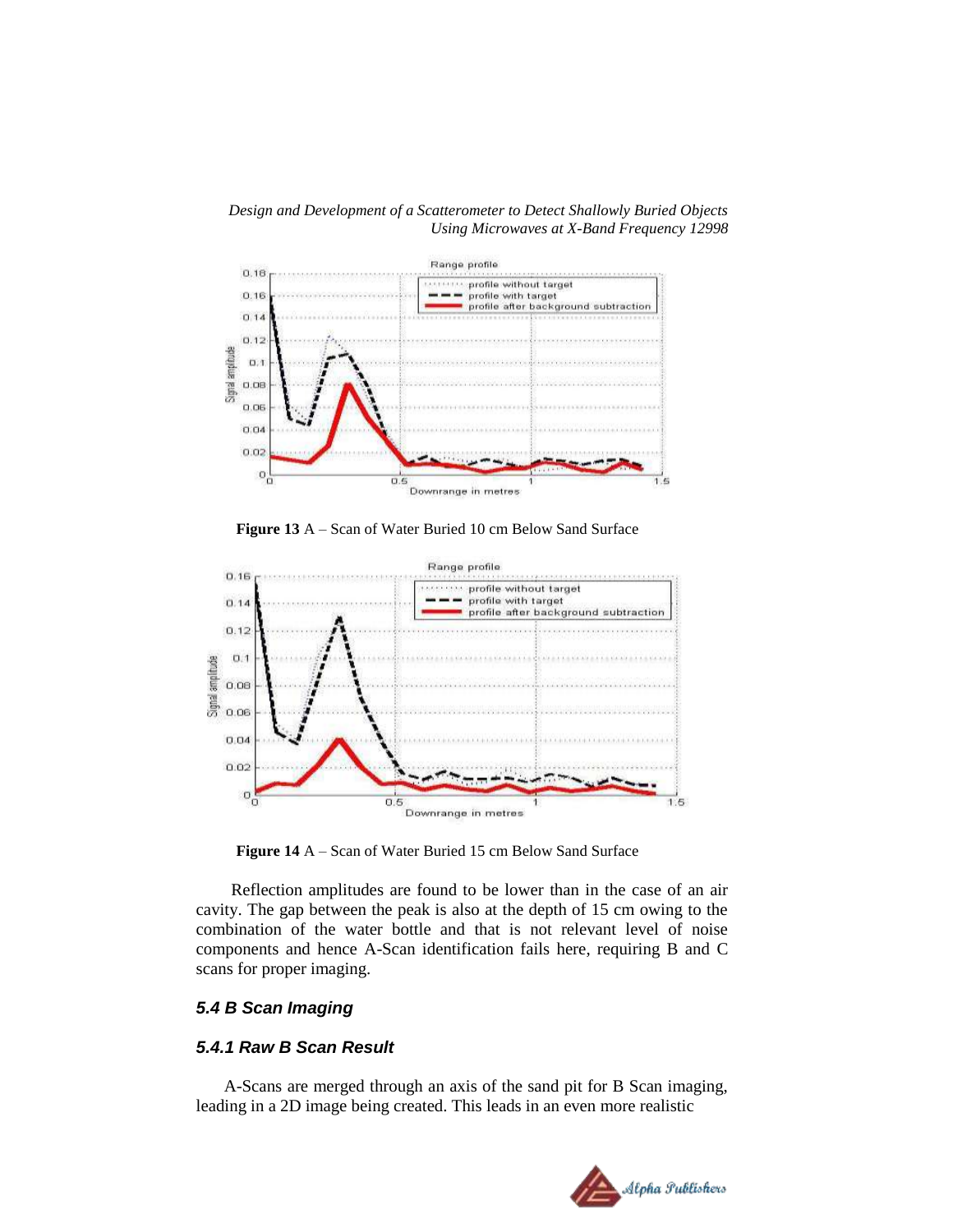*Design and Development of a Scatterometer to Detect Shallowly Buried Objects Using Microwaves at X-Band Frequency 12998*



**Figure 13** A – Scan of Water Buried 10 cm Below Sand Surface



**Figure 14** A – Scan of Water Buried 15 cm Below Sand Surface

Reflection amplitudes are found to be lower than in the case of an air cavity. The gap between the peak is also at the depth of 15 cm owing to the combination of the water bottle and that is not relevant level of noise components and hence A-Scan identification fails here, requiring B and C scans for proper imaging.

#### *5.4 B Scan Imaging*

## *5.4.1 Raw B Scan Result*

A-Scans are merged through an axis of the sand pit for B Scan imaging, leading in a 2D image being created. This leads in an even more realistic

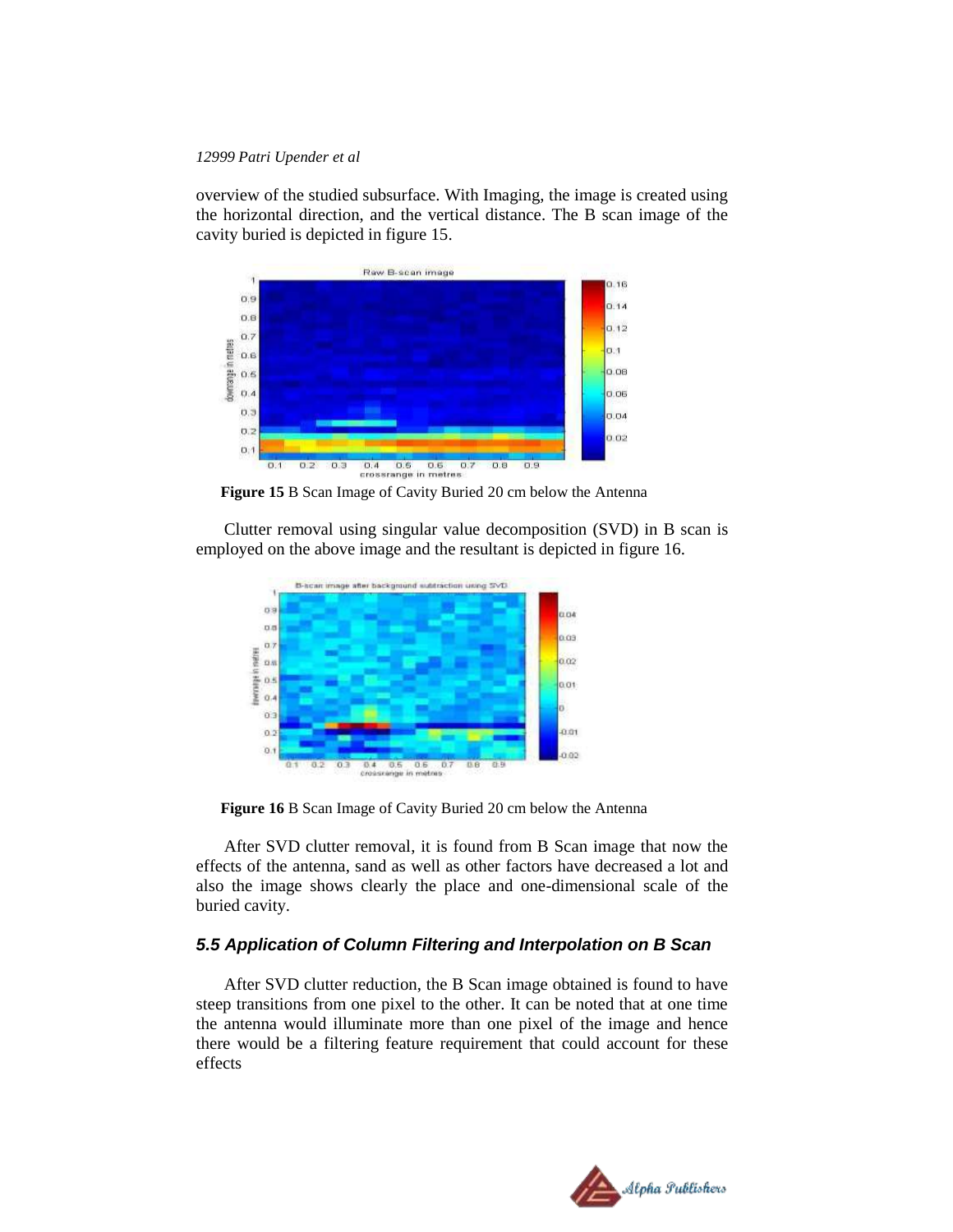overview of the studied subsurface. With Imaging, the image is created using the horizontal direction, and the vertical distance. The B scan image of the cavity buried is depicted in figure 15.



**Figure 15** B Scan Image of Cavity Buried 20 cm below the Antenna

Clutter removal using singular value decomposition (SVD) in B scan is employed on the above image and the resultant is depicted in figure 16.



**Figure 16** B Scan Image of Cavity Buried 20 cm below the Antenna

After SVD clutter removal, it is found from B Scan image that now the effects of the antenna, sand as well as other factors have decreased a lot and also the image shows clearly the place and one-dimensional scale of the buried cavity.

## *5.5 Application of Column Filtering and Interpolation on B Scan*

After SVD clutter reduction, the B Scan image obtained is found to have steep transitions from one pixel to the other. It can be noted that at one time the antenna would illuminate more than one pixel of the image and hence there would be a filtering feature requirement that could account for these effects

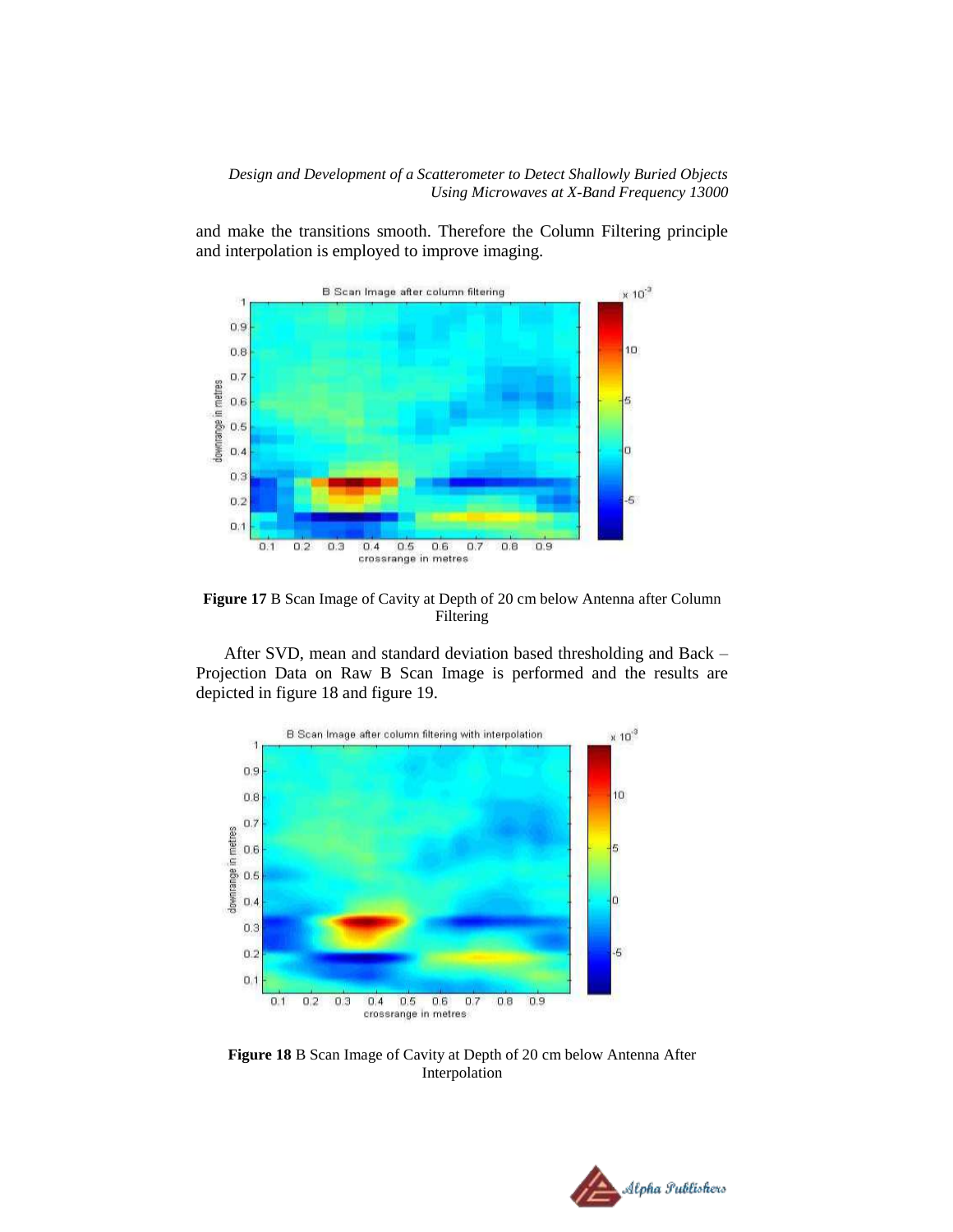and make the transitions smooth. Therefore the Column Filtering principle and interpolation is employed to improve imaging.



**Figure 17** B Scan Image of Cavity at Depth of 20 cm below Antenna after Column Filtering

After SVD, mean and standard deviation based thresholding and Back – Projection Data on Raw B Scan Image is performed and the results are depicted in figure 18 and figure 19.



**Figure 18** B Scan Image of Cavity at Depth of 20 cm below Antenna After Interpolation

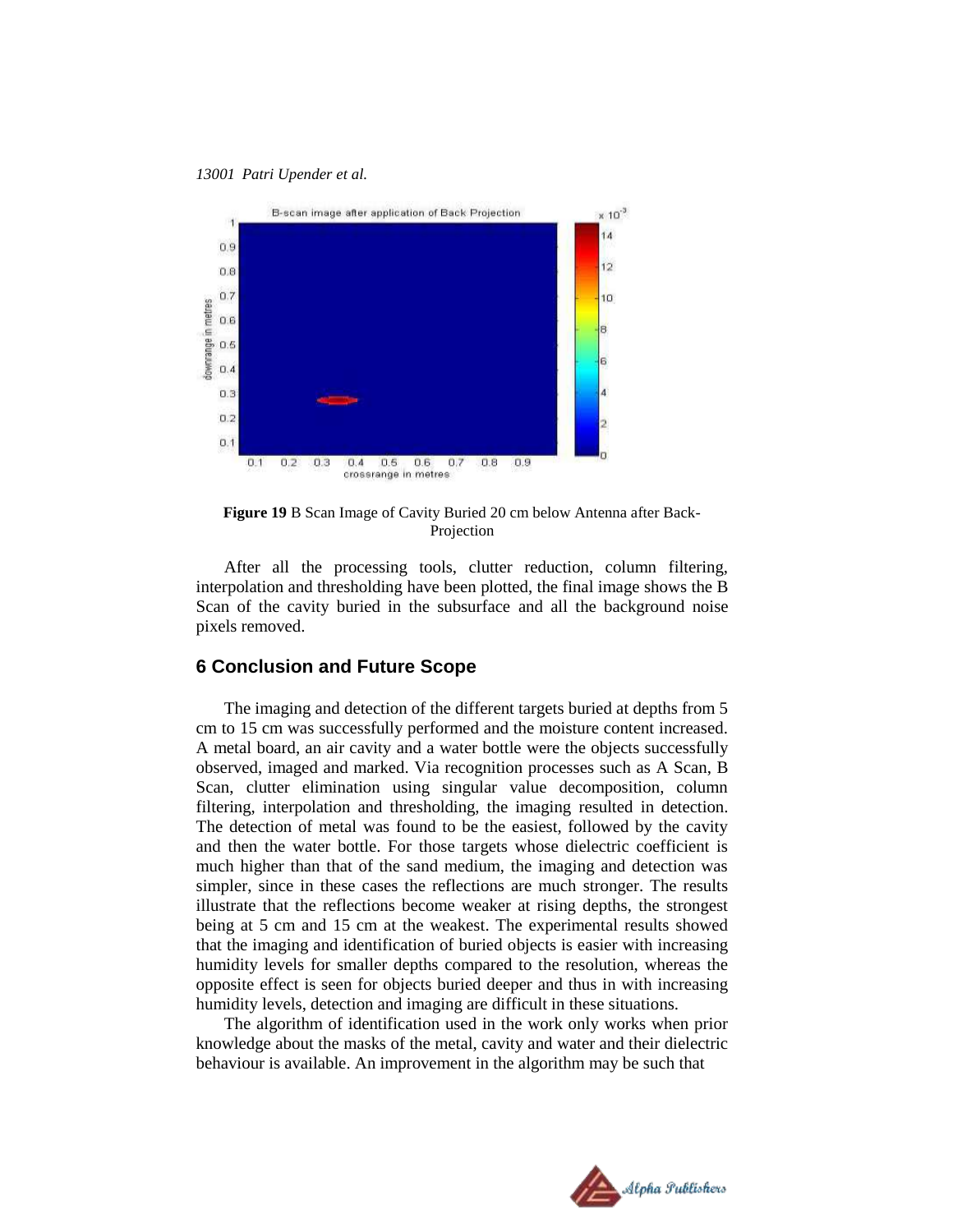

**Figure 19** B Scan Image of Cavity Buried 20 cm below Antenna after Back-Projection

After all the processing tools, clutter reduction, column filtering, interpolation and thresholding have been plotted, the final image shows the B Scan of the cavity buried in the subsurface and all the background noise pixels removed.

## **6 Conclusion and Future Scope**

The imaging and detection of the different targets buried at depths from 5 cm to 15 cm was successfully performed and the moisture content increased. A metal board, an air cavity and a water bottle were the objects successfully observed, imaged and marked. Via recognition processes such as A Scan, B Scan, clutter elimination using singular value decomposition, column filtering, interpolation and thresholding, the imaging resulted in detection. The detection of metal was found to be the easiest, followed by the cavity and then the water bottle. For those targets whose dielectric coefficient is much higher than that of the sand medium, the imaging and detection was simpler, since in these cases the reflections are much stronger. The results illustrate that the reflections become weaker at rising depths, the strongest being at 5 cm and 15 cm at the weakest. The experimental results showed that the imaging and identification of buried objects is easier with increasing humidity levels for smaller depths compared to the resolution, whereas the opposite effect is seen for objects buried deeper and thus in with increasing humidity levels, detection and imaging are difficult in these situations.

The algorithm of identification used in the work only works when prior knowledge about the masks of the metal, cavity and water and their dielectric behaviour is available. An improvement in the algorithm may be such that

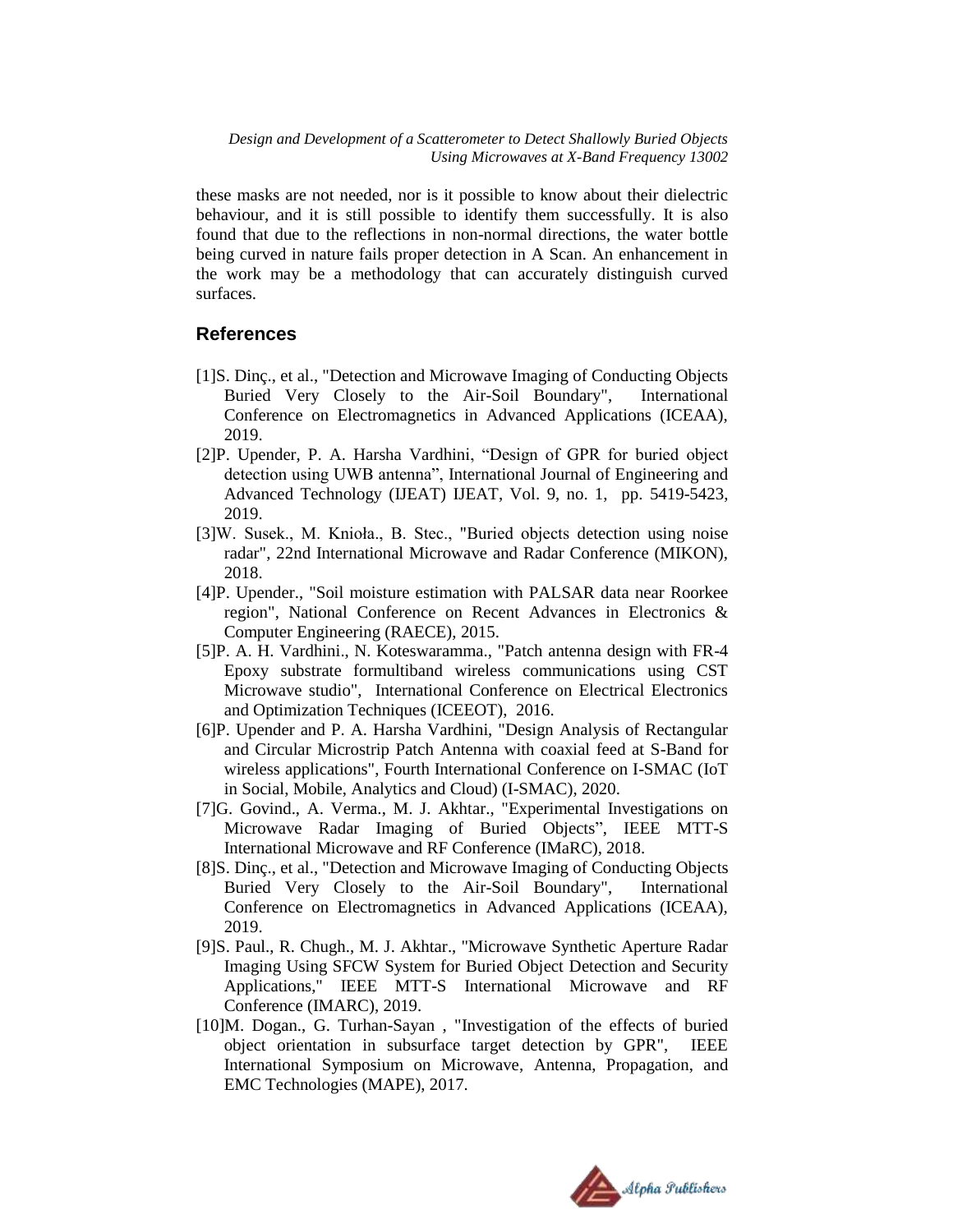these masks are not needed, nor is it possible to know about their dielectric behaviour, and it is still possible to identify them successfully. It is also found that due to the reflections in non-normal directions, the water bottle being curved in nature fails proper detection in A Scan. An enhancement in the work may be a methodology that can accurately distinguish curved surfaces.

## **References**

- [1]S. Dinç., et al., "Detection and Microwave Imaging of Conducting Objects Buried Very Closely to the Air-Soil Boundary", International Conference on Electromagnetics in Advanced Applications (ICEAA), 2019.
- [2]P. Upender, P. A. Harsha Vardhini, "Design of GPR for buried object detection using UWB antenna", International Journal of Engineering and Advanced Technology (IJEAT) IJEAT, Vol. 9, no. 1, pp. 5419-5423, 2019.
- [3]W. Susek., M. Knioła., B. Stec., "Buried objects detection using noise radar", 22nd International Microwave and Radar Conference (MIKON), 2018.
- [4]P. Upender., "Soil moisture estimation with PALSAR data near Roorkee region", National Conference on Recent Advances in Electronics & Computer Engineering (RAECE), 2015.
- [5]P. A. H. Vardhini., N. Koteswaramma., "Patch antenna design with FR-4 Epoxy substrate formultiband wireless communications using CST Microwave studio", International Conference on Electrical Electronics and Optimization Techniques (ICEEOT), 2016.
- [6]P. Upender and P. A. Harsha Vardhini, "Design Analysis of Rectangular and Circular Microstrip Patch Antenna with coaxial feed at S-Band for wireless applications", Fourth International Conference on I-SMAC (IoT in Social, Mobile, Analytics and Cloud) (I-SMAC), 2020.
- [7]G. Govind., A. Verma., M. J. Akhtar., "Experimental Investigations on Microwave Radar Imaging of Buried Objects", IEEE MTT-S International Microwave and RF Conference (IMaRC), 2018.
- [8]S. Dinç., et al., "Detection and Microwave Imaging of Conducting Objects Buried Very Closely to the Air-Soil Boundary", International Conference on Electromagnetics in Advanced Applications (ICEAA), 2019.
- [9]S. Paul., R. Chugh., M. J. Akhtar., "Microwave Synthetic Aperture Radar Imaging Using SFCW System for Buried Object Detection and Security Applications," IEEE MTT-S International Microwave and RF Conference (IMARC), 2019.
- [10]M. Dogan., G. Turhan-Sayan , "Investigation of the effects of buried object orientation in subsurface target detection by GPR", IEEE International Symposium on Microwave, Antenna, Propagation, and EMC Technologies (MAPE), 2017.

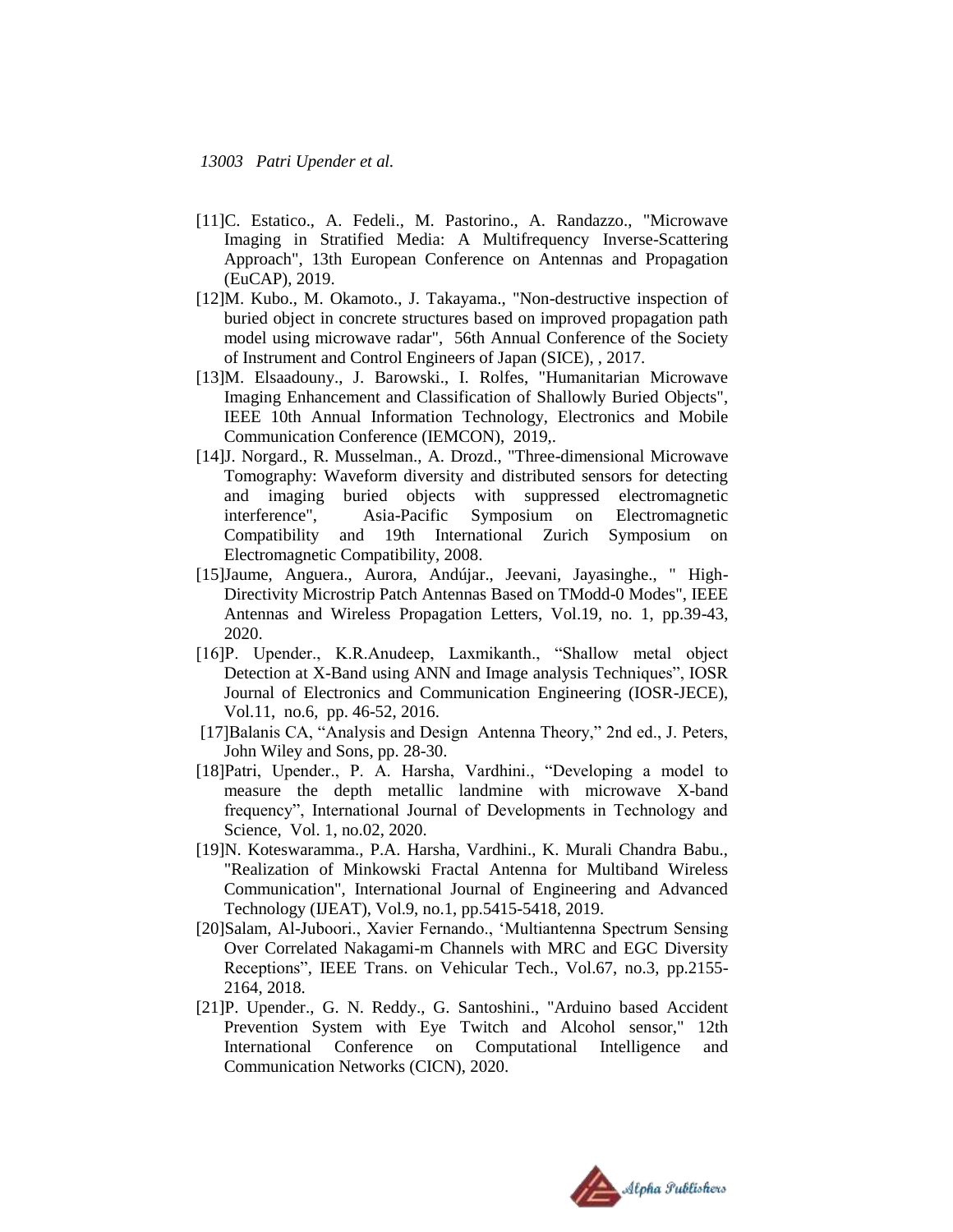- [11]C. Estatico., A. Fedeli., M. Pastorino., A. Randazzo., "Microwave Imaging in Stratified Media: A Multifrequency Inverse-Scattering Approach", 13th European Conference on Antennas and Propagation (EuCAP), 2019.
- [12]M. Kubo., M. Okamoto., J. Takayama., "Non-destructive inspection of buried object in concrete structures based on improved propagation path model using microwave radar", 56th Annual Conference of the Society of Instrument and Control Engineers of Japan (SICE), , 2017.
- [13]M. Elsaadouny., J. Barowski., I. Rolfes, "Humanitarian Microwave Imaging Enhancement and Classification of Shallowly Buried Objects", IEEE 10th Annual Information Technology, Electronics and Mobile Communication Conference (IEMCON), 2019,.
- [14]J. Norgard., R. Musselman., A. Drozd., "Three-dimensional Microwave Tomography: Waveform diversity and distributed sensors for detecting and imaging buried objects with suppressed electromagnetic interference", Asia-Pacific Symposium on Electromagnetic Compatibility and 19th International Zurich Symposium on Electromagnetic Compatibility, 2008.
- [15]Jaume, Anguera., Aurora, Andújar., Jeevani, Jayasinghe., " High-Directivity Microstrip Patch Antennas Based on TModd-0 Modes", IEEE Antennas and Wireless Propagation Letters, Vol.19, no. 1, pp.39-43, 2020.
- [16]P. Upender., K.R.Anudeep, Laxmikanth., "Shallow metal object Detection at X-Band using ANN and Image analysis Techniques", IOSR Journal of Electronics and Communication Engineering (IOSR-JECE), Vol.11, no.6, pp. 46-52, 2016.
- [17]Balanis CA, "Analysis and Design Antenna Theory," 2nd ed., J. Peters, John Wiley and Sons, pp. 28-30.
- [18]Patri, Upender., P. A. Harsha, Vardhini., "Developing a model to measure the depth metallic landmine with microwave X-band frequency", International Journal of Developments in Technology and Science, Vol. 1, no.02, 2020.
- [19]N. Koteswaramma., P.A. Harsha, Vardhini., K. Murali Chandra Babu., "Realization of Minkowski Fractal Antenna for Multiband Wireless Communication", International Journal of Engineering and Advanced Technology (IJEAT), Vol.9, no.1, pp.5415-5418, 2019.
- [20]Salam, Al-Juboori., Xavier Fernando., "Multiantenna Spectrum Sensing Over Correlated Nakagami-m Channels with MRC and EGC Diversity Receptions", IEEE Trans. on Vehicular Tech., Vol.67, no.3, pp.2155- 2164, 2018.
- [21]P. Upender., G. N. Reddy., G. Santoshini., "Arduino based Accident Prevention System with Eye Twitch and Alcohol sensor," 12th International Conference on Computational Intelligence and Communication Networks (CICN), 2020.